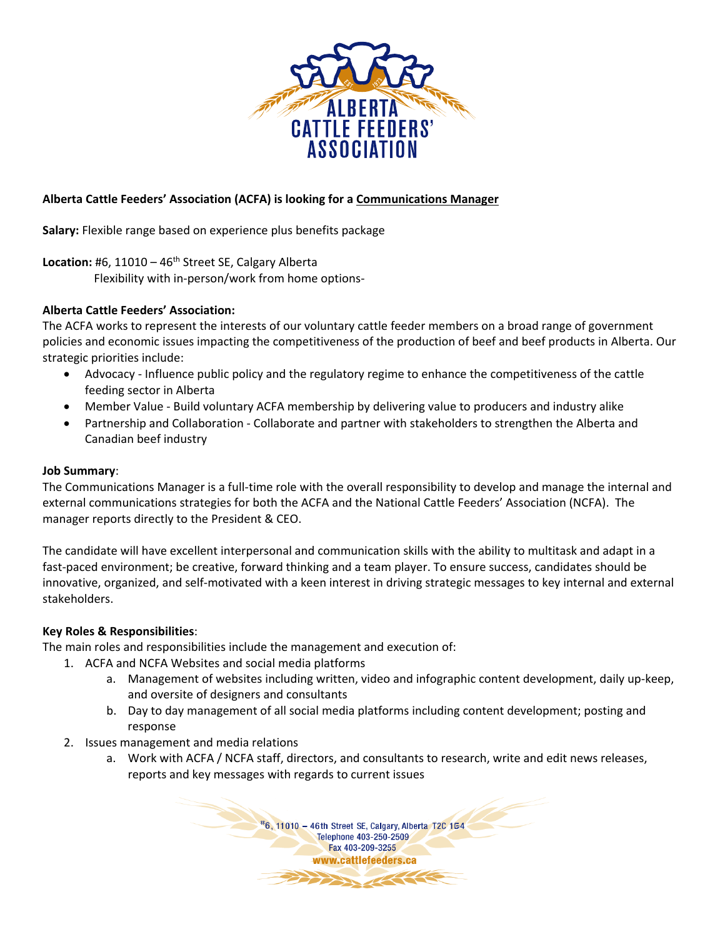

# **Alberta Cattle Feeders' Association (ACFA) is looking for a Communications Manager**

**Salary:** Flexible range based on experience plus benefits package

Location: #6, 11010 - 46<sup>th</sup> Street SE, Calgary Alberta

Flexibility with in-person/work from home options-

## **Alberta Cattle Feeders' Association:**

The ACFA works to represent the interests of our voluntary cattle feeder members on a broad range of government policies and economic issues impacting the competitiveness of the production of beef and beef products in Alberta. Our strategic priorities include:

- Advocacy Influence public policy and the regulatory regime to enhance the competitiveness of the cattle feeding sector in Alberta
- Member Value Build voluntary ACFA membership by delivering value to producers and industry alike
- Partnership and Collaboration Collaborate and partner with stakeholders to strengthen the Alberta and Canadian beef industry

#### **Job Summary**:

The Communications Manager is a full-time role with the overall responsibility to develop and manage the internal and external communications strategies for both the ACFA and the National Cattle Feeders' Association (NCFA). The manager reports directly to the President & CEO.

The candidate will have excellent interpersonal and communication skills with the ability to multitask and adapt in a fast-paced environment; be creative, forward thinking and a team player. To ensure success, candidates should be innovative, organized, and self-motivated with a keen interest in driving strategic messages to key internal and external stakeholders.

## **Key Roles & Responsibilities**:

The main roles and responsibilities include the management and execution of:

- 1. ACFA and NCFA Websites and social media platforms
	- a. Management of websites including written, video and infographic content development, daily up-keep, and oversite of designers and consultants
	- b. Day to day management of all social media platforms including content development; posting and response
- 2. Issues management and media relations
	- a. Work with ACFA / NCFA staff, directors, and consultants to research, write and edit news releases, reports and key messages with regards to current issues